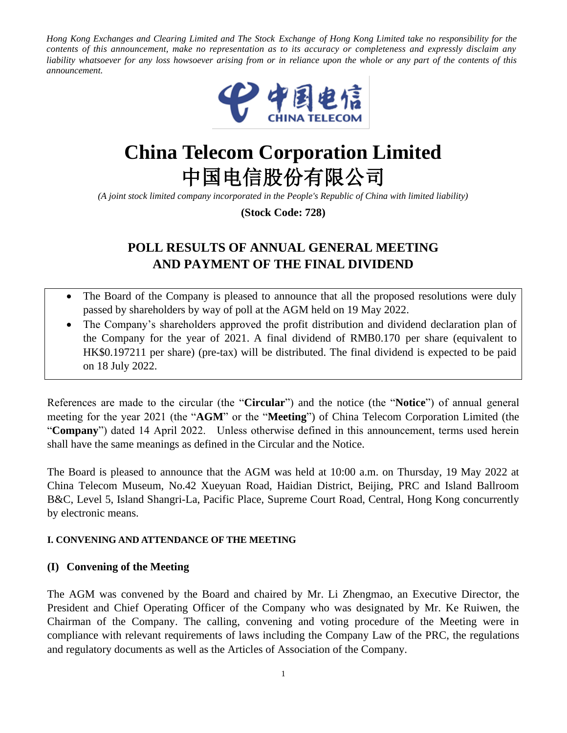*Hong Kong Exchanges and Clearing Limited and The Stock Exchange of Hong Kong Limited take no responsibility for the contents of this announcement, make no representation as to its accuracy or completeness and expressly disclaim any liability whatsoever for any loss howsoever arising from or in reliance upon the whole or any part of the contents of this announcement.* 



# **China Telecom Corporation Limited** 中国电信股份有限公司

*(A joint stock limited company incorporated in the People's Republic of China with limited liability)*

**(Stock Code: 728)**

# **POLL RESULTS OF ANNUAL GENERAL MEETING AND PAYMENT OF THE FINAL DIVIDEND**

- The Board of the Company is pleased to announce that all the proposed resolutions were duly passed by shareholders by way of poll at the AGM held on 19 May 2022.
- The Company's shareholders approved the profit distribution and dividend declaration plan of the Company for the year of 2021. A final dividend of RMB0.170 per share (equivalent to HK\$0.197211 per share) (pre-tax) will be distributed. The final dividend is expected to be paid on 18 July 2022.

References are made to the circular (the "**Circular**") and the notice (the "**Notice**") of annual general meeting for the year 2021 (the "**AGM**" or the "**Meeting**") of China Telecom Corporation Limited (the "**Company**") dated 14 April 2022. Unless otherwise defined in this announcement, terms used herein shall have the same meanings as defined in the Circular and the Notice.

The Board is pleased to announce that the AGM was held at 10:00 a.m. on Thursday, 19 May 2022 at China Telecom Museum, No.42 Xueyuan Road, Haidian District, Beijing, PRC and Island Ballroom B&C, Level 5, Island Shangri-La, Pacific Place, Supreme Court Road, Central, Hong Kong concurrently by electronic means.

#### **I. CONVENING AND ATTENDANCE OF THE MEETING**

#### **(I) Convening of the Meeting**

The AGM was convened by the Board and chaired by Mr. Li Zhengmao, an Executive Director, the President and Chief Operating Officer of the Company who was designated by Mr. Ke Ruiwen, the Chairman of the Company. The calling, convening and voting procedure of the Meeting were in compliance with relevant requirements of laws including the Company Law of the PRC, the regulations and regulatory documents as well as the Articles of Association of the Company.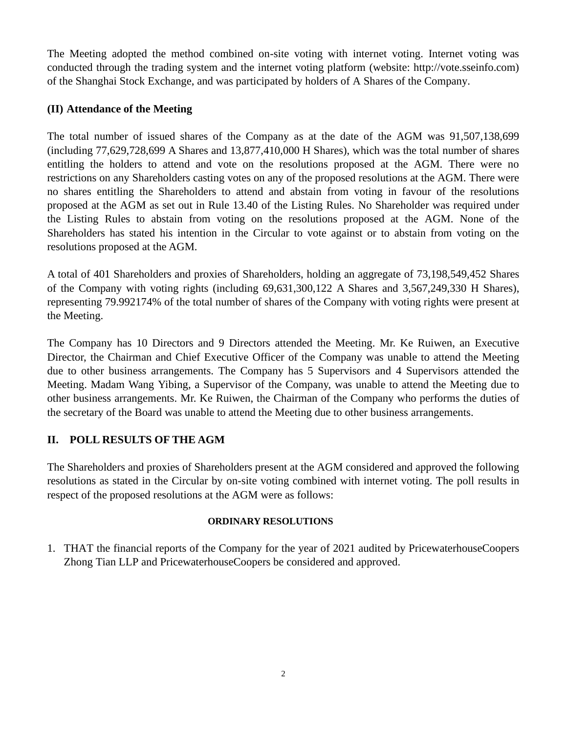The Meeting adopted the method combined on-site voting with internet voting. Internet voting was conducted through the trading system and the internet voting platform (website: http://vote.sseinfo.com) of the Shanghai Stock Exchange, and was participated by holders of A Shares of the Company.

#### **(II) Attendance of the Meeting**

The total number of issued shares of the Company as at the date of the AGM was 91,507,138,699 (including 77,629,728,699 A Shares and 13,877,410,000 H Shares), which was the total number of shares entitling the holders to attend and vote on the resolutions proposed at the AGM. There were no restrictions on any Shareholders casting votes on any of the proposed resolutions at the AGM. There were no shares entitling the Shareholders to attend and abstain from voting in favour of the resolutions proposed at the AGM as set out in Rule 13.40 of the Listing Rules. No Shareholder was required under the Listing Rules to abstain from voting on the resolutions proposed at the AGM. None of the Shareholders has stated his intention in the Circular to vote against or to abstain from voting on the resolutions proposed at the AGM.

A total of 401 Shareholders and proxies of Shareholders, holding an aggregate of 73,198,549,452 Shares of the Company with voting rights (including 69,631,300,122 A Shares and 3,567,249,330 H Shares), representing 79.992174% of the total number of shares of the Company with voting rights were present at the Meeting.

The Company has 10 Directors and 9 Directors attended the Meeting. Mr. Ke Ruiwen, an Executive Director, the Chairman and Chief Executive Officer of the Company was unable to attend the Meeting due to other business arrangements. The Company has 5 Supervisors and 4 Supervisors attended the Meeting. Madam Wang Yibing, a Supervisor of the Company, was unable to attend the Meeting due to other business arrangements. Mr. Ke Ruiwen, the Chairman of the Company who performs the duties of the secretary of the Board was unable to attend the Meeting due to other business arrangements.

#### **II. POLL RESULTS OF THE AGM**

The Shareholders and proxies of Shareholders present at the AGM considered and approved the following resolutions as stated in the Circular by on-site voting combined with internet voting. The poll results in respect of the proposed resolutions at the AGM were as follows:

#### **ORDINARY RESOLUTIONS**

1. THAT the financial reports of the Company for the year of 2021 audited by PricewaterhouseCoopers Zhong Tian LLP and PricewaterhouseCoopers be considered and approved.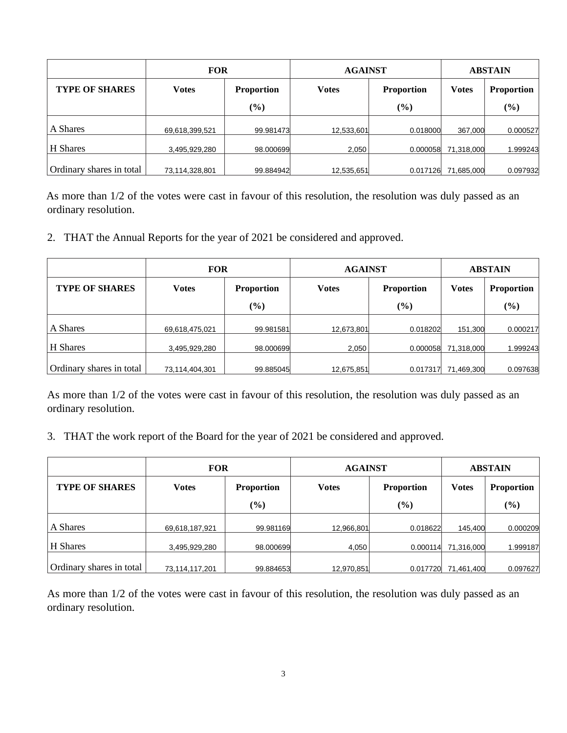|                          | <b>FOR</b>     |                   | <b>AGAINST</b> | <b>ABSTAIN</b>    |              |                   |
|--------------------------|----------------|-------------------|----------------|-------------------|--------------|-------------------|
| <b>TYPE OF SHARES</b>    | <b>Votes</b>   | <b>Proportion</b> | <b>Votes</b>   | <b>Proportion</b> | <b>Votes</b> | <b>Proportion</b> |
|                          |                | $(\%)$            |                | $(\%)$            |              | $(\%)$            |
| A Shares                 | 69,618,399,521 | 99.981473         | 12,533,601     | 0.018000          | 367.000      | 0.000527          |
| H Shares                 | 3,495,929,280  | 98.000699         | 2,050          | 0.000058          | 71,318,000   | 999243            |
| Ordinary shares in total | 73,114,328,801 | 99.884942         | 12,535,651     | 0.017126          | 71,685,000   | 0.097932          |

As more than  $1/2$  of the votes were cast in favour of this resolution, the resolution was duly passed as an ordinary resolution.

2. THAT the Annual Reports for the year of 2021 be considered and approved.

|                          | <b>FOR</b>     |                   | <b>AGAINST</b> | <b>ABSTAIN</b>    |              |                   |
|--------------------------|----------------|-------------------|----------------|-------------------|--------------|-------------------|
| <b>TYPE OF SHARES</b>    | <b>Votes</b>   | <b>Proportion</b> | <b>Votes</b>   | <b>Proportion</b> | <b>Votes</b> | <b>Proportion</b> |
|                          |                | $(\%)$            |                | $(\%)$            |              | $(\%)$            |
| A Shares                 | 69,618,475,021 | 99.981581         | 12,673,801     | 0.018202          | 151,300      | 0.000217          |
| H Shares                 | 3,495,929,280  | 98.000699         | 2,050          | 0.000058          | 71,318,000   | 1.999243          |
| Ordinary shares in total | 73,114,404,301 | 99.885045         | 12,675,851     | 0.017317          | 71,469,300   | 0.097638          |

As more than 1/2 of the votes were cast in favour of this resolution, the resolution was duly passed as an ordinary resolution.

3. THAT the work report of the Board for the year of 2021 be considered and approved.

|                          | <b>FOR</b>     |                   | <b>AGAINST</b> | <b>ABSTAIN</b>    |              |                   |
|--------------------------|----------------|-------------------|----------------|-------------------|--------------|-------------------|
| <b>TYPE OF SHARES</b>    | <b>Votes</b>   | <b>Proportion</b> | <b>Votes</b>   | <b>Proportion</b> | <b>Votes</b> | <b>Proportion</b> |
|                          |                | $(\%)$            |                | $(\%)$            |              | (%)               |
| A Shares                 | 69,618,187,921 | 99.981169         | 12,966,801     | 0.018622          | 145,400      | 0.000209          |
| H Shares                 | 3,495,929,280  | 98.000699         | 4,050          | 0.000114          | 71,316,000   | 1.999187          |
| Ordinary shares in total | 73,114,117,201 | 99.884653         | 12,970,851     | 0.017720          | 71,461,400   | 0.097627          |

As more than 1/2 of the votes were cast in favour of this resolution, the resolution was duly passed as an ordinary resolution.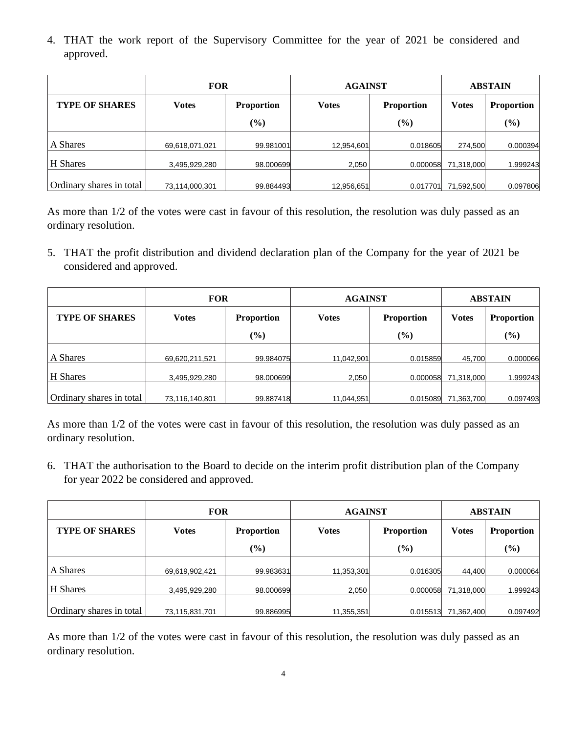4. THAT the work report of the Supervisory Committee for the year of 2021 be considered and approved.

|                          | <b>FOR</b>     |                   | <b>AGAINST</b> | <b>ABSTAIN</b>    |              |                   |
|--------------------------|----------------|-------------------|----------------|-------------------|--------------|-------------------|
| <b>TYPE OF SHARES</b>    | Votes          | <b>Proportion</b> | <b>Votes</b>   | <b>Proportion</b> | <b>Votes</b> | <b>Proportion</b> |
|                          |                | (%)               |                | $(\%)$            |              | $(\%)$            |
| A Shares                 | 69,618,071,021 | 99.981001         | 12,954,601     | 0.018605          | 274,500      | 0.000394          |
| H Shares                 | 3,495,929,280  | 98.000699         | 2,050          | 0.000058          | 71,318,000   | .999243           |
| Ordinary shares in total | 73,114,000,301 | 99.884493         | 12,956,651     | 0.017701          | 71,592,500   | 0.097806          |

As more than 1/2 of the votes were cast in favour of this resolution, the resolution was duly passed as an ordinary resolution.

5. THAT the profit distribution and dividend declaration plan of the Company for the year of 2021 be considered and approved.

|                          | <b>FOR</b>     |                   | <b>AGAINST</b> | <b>ABSTAIN</b>    |              |                   |
|--------------------------|----------------|-------------------|----------------|-------------------|--------------|-------------------|
| <b>TYPE OF SHARES</b>    | <b>Votes</b>   | <b>Proportion</b> | <b>Votes</b>   | <b>Proportion</b> | <b>Votes</b> | <b>Proportion</b> |
|                          |                | (%)               |                | $(\%)$            |              | $(\%)$            |
| A Shares                 | 69,620,211,521 | 99.984075         | 11,042,901     | 0.015859          | 45,700       | 0.000066          |
| H Shares                 | 3,495,929,280  | 98.000699         | 2,050          | 0.000058          | 71,318,000   | .999243           |
| Ordinary shares in total | 73,116,140,801 | 99.887418         | 11,044,951     | 0.015089          | 71,363,700   | 0.097493          |

As more than 1/2 of the votes were cast in favour of this resolution, the resolution was duly passed as an ordinary resolution.

6. THAT the authorisation to the Board to decide on the interim profit distribution plan of the Company for year 2022 be considered and approved.

|                          | <b>FOR</b>     |                   | <b>AGAINST</b> | <b>ABSTAIN</b>    |              |                   |
|--------------------------|----------------|-------------------|----------------|-------------------|--------------|-------------------|
| <b>TYPE OF SHARES</b>    | <b>Votes</b>   | <b>Proportion</b> | <b>Votes</b>   | <b>Proportion</b> | <b>Votes</b> | <b>Proportion</b> |
|                          |                | (%)               |                | $(\%)$            |              | $(\%)$            |
| A Shares                 | 69,619,902,421 | 99.983631         | 11,353,301     | 0.016305          | 44,400       | 0.000064          |
| H Shares                 | 3,495,929,280  | 98.000699         | 2,050          | 0.000058          | 71,318,000   | .999243           |
| Ordinary shares in total | 73,115,831,701 | 99.886995         | 11,355,351     | 0.015513          | 71,362,400   | 0.097492          |

As more than 1/2 of the votes were cast in favour of this resolution, the resolution was duly passed as an ordinary resolution.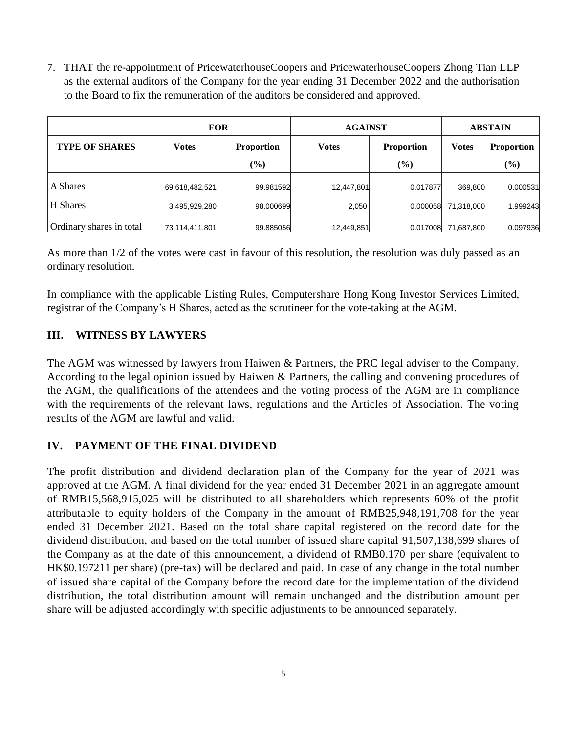7. THAT the re-appointment of PricewaterhouseCoopers and PricewaterhouseCoopers Zhong Tian LLP as the external auditors of the Company for the year ending 31 December 2022 and the authorisation to the Board to fix the remuneration of the auditors be considered and approved.

| <b>FOR</b>               |                |                   | <b>AGAINST</b> | <b>ABSTAIN</b>    |              |                   |
|--------------------------|----------------|-------------------|----------------|-------------------|--------------|-------------------|
| <b>TYPE OF SHARES</b>    | <b>Votes</b>   | <b>Proportion</b> | <b>Votes</b>   | <b>Proportion</b> | <b>Votes</b> | <b>Proportion</b> |
|                          |                | $(\%)$            |                | (%)               |              | (%)               |
| A Shares                 | 69,618,482,521 | 99.981592         | 12,447,801     | 0.017877          | 369,800      | 0.000531          |
| H Shares                 | 3,495,929,280  | 98.000699         | 2,050          | 0.000058          | 71,318,000   | 1.999243          |
| Ordinary shares in total | 73,114,411,801 | 99.885056         | 12,449,851     | 0.017008          | 71,687,800   | 0.097936          |

As more than 1/2 of the votes were cast in favour of this resolution, the resolution was duly passed as an ordinary resolution.

In compliance with the applicable Listing Rules, Computershare Hong Kong Investor Services Limited, registrar of the Company's H Shares, acted as the scrutineer for the vote-taking at the AGM.

## **III. WITNESS BY LAWYERS**

The AGM was witnessed by lawyers from Haiwen & Partners, the PRC legal adviser to the Company. According to the legal opinion issued by Haiwen & Partners, the calling and convening procedures of the AGM, the qualifications of the attendees and the voting process of the AGM are in compliance with the requirements of the relevant laws, regulations and the Articles of Association. The voting results of the AGM are lawful and valid.

## **IV. PAYMENT OF THE FINAL DIVIDEND**

The profit distribution and dividend declaration plan of the Company for the year of 2021 was approved at the AGM. A final dividend for the year ended 31 December 2021 in an aggregate amount of RMB15,568,915,025 will be distributed to all shareholders which represents 60% of the profit attributable to equity holders of the Company in the amount of RMB25,948,191,708 for the year ended 31 December 2021. Based on the total share capital registered on the record date for the dividend distribution, and based on the total number of issued share capital 91,507,138,699 shares of the Company as at the date of this announcement, a dividend of RMB0.170 per share (equivalent to HK\$0.197211 per share) (pre-tax) will be declared and paid. In case of any change in the total number of issued share capital of the Company before the record date for the implementation of the dividend distribution, the total distribution amount will remain unchanged and the distribution amount per share will be adjusted accordingly with specific adjustments to be announced separately.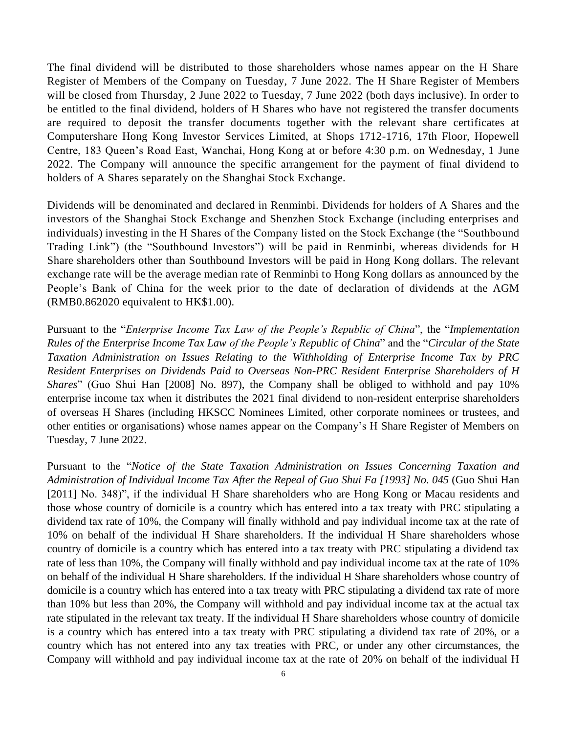The final dividend will be distributed to those shareholders whose names appear on the H Share Register of Members of the Company on Tuesday, 7 June 2022. The H Share Register of Members will be closed from Thursday, 2 June 2022 to Tuesday, 7 June 2022 (both days inclusive). In order to be entitled to the final dividend, holders of H Shares who have not registered the transfer documents are required to deposit the transfer documents together with the relevant share certificates at Computershare Hong Kong Investor Services Limited, at Shops 1712-1716, 17th Floor, Hopewell Centre, 183 Queen's Road East, Wanchai, Hong Kong at or before 4:30 p.m. on Wednesday, 1 June 2022. The Company will announce the specific arrangement for the payment of final dividend to holders of A Shares separately on the Shanghai Stock Exchange.

Dividends will be denominated and declared in Renminbi. Dividends for holders of A Shares and the investors of the Shanghai Stock Exchange and Shenzhen Stock Exchange (including enterprises and individuals) investing in the H Shares of the Company listed on the Stock Exchange (the "Southbound Trading Link") (the "Southbound Investors") will be paid in Renminbi, whereas dividends for H Share shareholders other than Southbound Investors will be paid in Hong Kong dollars. The relevant exchange rate will be the average median rate of Renminbi to Hong Kong dollars as announced by the People's Bank of China for the week prior to the date of declaration of dividends at the AGM (RMB0.862020 equivalent to HK\$1.00).

Pursuant to the "*Enterprise Income Tax Law of the People's Republic of China*", the "*Implementation Rules of the Enterprise Income Tax Law of the People's Republic of China*" and the "*Circular of the State Taxation Administration on Issues Relating to the Withholding of Enterprise Income Tax by PRC Resident Enterprises on Dividends Paid to Overseas Non-PRC Resident Enterprise Shareholders of H Shares*" (Guo Shui Han [2008] No. 897), the Company shall be obliged to withhold and pay 10% enterprise income tax when it distributes the 2021 final dividend to non-resident enterprise shareholders of overseas H Shares (including HKSCC Nominees Limited, other corporate nominees or trustees, and other entities or organisations) whose names appear on the Company's H Share Register of Members on Tuesday, 7 June 2022.

Pursuant to the "*Notice of the State Taxation Administration on Issues Concerning Taxation and Administration of Individual Income Tax After the Repeal of Guo Shui Fa [1993] No. 045* (Guo Shui Han [2011] No. 348)", if the individual H Share shareholders who are Hong Kong or Macau residents and those whose country of domicile is a country which has entered into a tax treaty with PRC stipulating a dividend tax rate of 10%, the Company will finally withhold and pay individual income tax at the rate of 10% on behalf of the individual H Share shareholders. If the individual H Share shareholders whose country of domicile is a country which has entered into a tax treaty with PRC stipulating a dividend tax rate of less than 10%, the Company will finally withhold and pay individual income tax at the rate of 10% on behalf of the individual H Share shareholders. If the individual H Share shareholders whose country of domicile is a country which has entered into a tax treaty with PRC stipulating a dividend tax rate of more than 10% but less than 20%, the Company will withhold and pay individual income tax at the actual tax rate stipulated in the relevant tax treaty. If the individual H Share shareholders whose country of domicile is a country which has entered into a tax treaty with PRC stipulating a dividend tax rate of 20%, or a country which has not entered into any tax treaties with PRC, or under any other circumstances, the Company will withhold and pay individual income tax at the rate of 20% on behalf of the individual H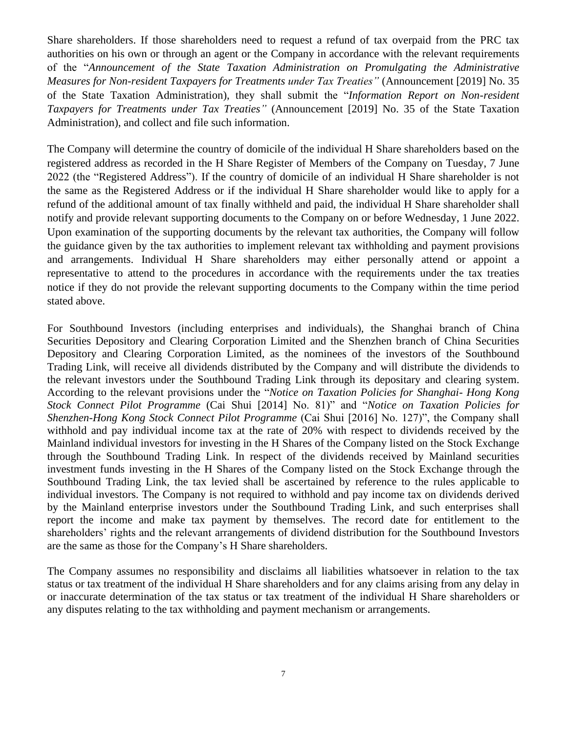Share shareholders. If those shareholders need to request a refund of tax overpaid from the PRC tax authorities on his own or through an agent or the Company in accordance with the relevant requirements of the "*Announcement of the State Taxation Administration on Promulgating the Administrative Measures for Non-resident Taxpayers for Treatments under Tax Treaties"* (Announcement [2019] No. 35 of the State Taxation Administration), they shall submit the "*Information Report on Non-resident Taxpayers for Treatments under Tax Treaties"* (Announcement [2019] No. 35 of the State Taxation Administration), and collect and file such information.

The Company will determine the country of domicile of the individual H Share shareholders based on the registered address as recorded in the H Share Register of Members of the Company on Tuesday, 7 June 2022 (the "Registered Address"). If the country of domicile of an individual H Share shareholder is not the same as the Registered Address or if the individual H Share shareholder would like to apply for a refund of the additional amount of tax finally withheld and paid, the individual H Share shareholder shall notify and provide relevant supporting documents to the Company on or before Wednesday, 1 June 2022. Upon examination of the supporting documents by the relevant tax authorities, the Company will follow the guidance given by the tax authorities to implement relevant tax withholding and payment provisions and arrangements. Individual H Share shareholders may either personally attend or appoint a representative to attend to the procedures in accordance with the requirements under the tax treaties notice if they do not provide the relevant supporting documents to the Company within the time period stated above.

For Southbound Investors (including enterprises and individuals), the Shanghai branch of China Securities Depository and Clearing Corporation Limited and the Shenzhen branch of China Securities Depository and Clearing Corporation Limited, as the nominees of the investors of the Southbound Trading Link, will receive all dividends distributed by the Company and will distribute the dividends to the relevant investors under the Southbound Trading Link through its depositary and clearing system. According to the relevant provisions under the "*Notice on Taxation Policies for Shanghai- Hong Kong Stock Connect Pilot Programme* (Cai Shui [2014] No. 81)" and "*Notice on Taxation Policies for Shenzhen-Hong Kong Stock Connect Pilot Programme* (Cai Shui [2016] No. 127)", the Company shall withhold and pay individual income tax at the rate of 20% with respect to dividends received by the Mainland individual investors for investing in the H Shares of the Company listed on the Stock Exchange through the Southbound Trading Link. In respect of the dividends received by Mainland securities investment funds investing in the H Shares of the Company listed on the Stock Exchange through the Southbound Trading Link, the tax levied shall be ascertained by reference to the rules applicable to individual investors. The Company is not required to withhold and pay income tax on dividends derived by the Mainland enterprise investors under the Southbound Trading Link, and such enterprises shall report the income and make tax payment by themselves. The record date for entitlement to the shareholders' rights and the relevant arrangements of dividend distribution for the Southbound Investors are the same as those for the Company's H Share shareholders.

The Company assumes no responsibility and disclaims all liabilities whatsoever in relation to the tax status or tax treatment of the individual H Share shareholders and for any claims arising from any delay in or inaccurate determination of the tax status or tax treatment of the individual H Share shareholders or any disputes relating to the tax withholding and payment mechanism or arrangements.